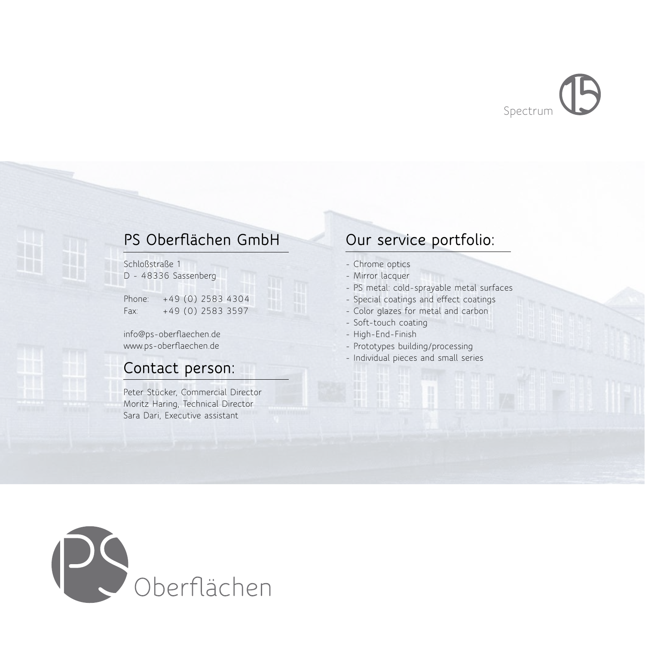Spectrum

# **PS Oberflächen GmbH**

Schloßstraße 1 D - 48336 Sassenberg

Phone: +49 (0) 2583 4304 Fax: +49 (0) 2583 3597

info@ps-oberflaechen.de www.ps-oberflaechen.de

# **Contact person:**

Peter Stücker, Commercial Director Moritz Haring, Technical Director Sara Dari, Executive assistant

# **Our service portfolio:**

- Chrome optics
- Mirror lacquer
- PS metal: cold-sprayable metal surfaces
- Special coatings and effect coatings
- Color glazes for metal and carbon
- Soft-touch coating
- High-End-Finish
- Prototypes building/processing
- Individual pieces and small series